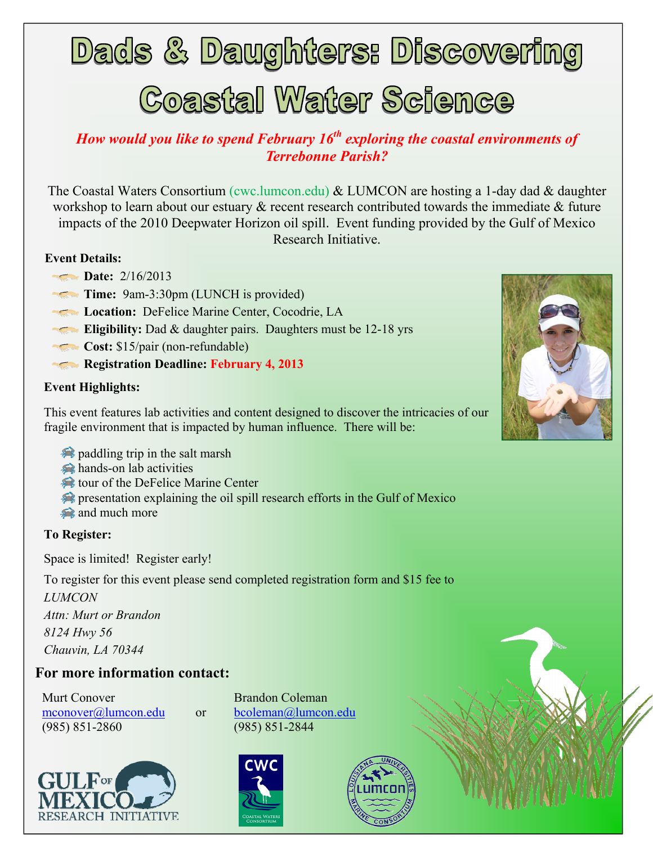**Dads & Daughters: Discovering** 

# **Coastal Water Science**

### *How would you like to spend February 16th exploring the coastal environments of Terrebonne Parish?*

The Coastal Waters Consortium (cwc.lumcon.edu) & LUMCON are hosting a 1-day dad & daughter workshop to learn about our estuary  $\&$  recent research contributed towards the immediate  $\&$  future impacts of the 2010 Deepwater Horizon oil spill. Event funding provided by the Gulf of Mexico Research Initiative.

#### **Event Details:**

- **Date:** 2/16/2013
- **Time:** 9am-3:30pm (LUNCH is provided)
- **Location:** DeFelice Marine Center, Cocodrie, LA
- **Eligibility:** Dad & daughter pairs. Daughters must be 12-18 yrs
- **Cost:** \$15/pair (non-refundable)
- **Registration Deadline: February 4, 2013**

#### **Event Highlights:**

This event features lab activities and content designed to discover the intricacies of our fragile environment that is impacted by human influence. There will be:

- paddling trip in the salt marsh
- hands-on lab activities
- tour of the DeFelice Marine Center
- **Presentation explaining the oil spill research efforts in the Gulf of Mexico**
- and much more

#### **To Register:**

Space is limited! Register early!

To register for this event please send completed registration form and \$15 fee to

*LUMCON Attn: Murt or Brandon 8124 Hwy 56 Chauvin, LA 70344* 

#### **For more information contact:**

Murt Conover Brandon Coleman mconover@lumcon.edu or bcoleman@lumcon.edu (985) 851-2860 (985) 851-2844